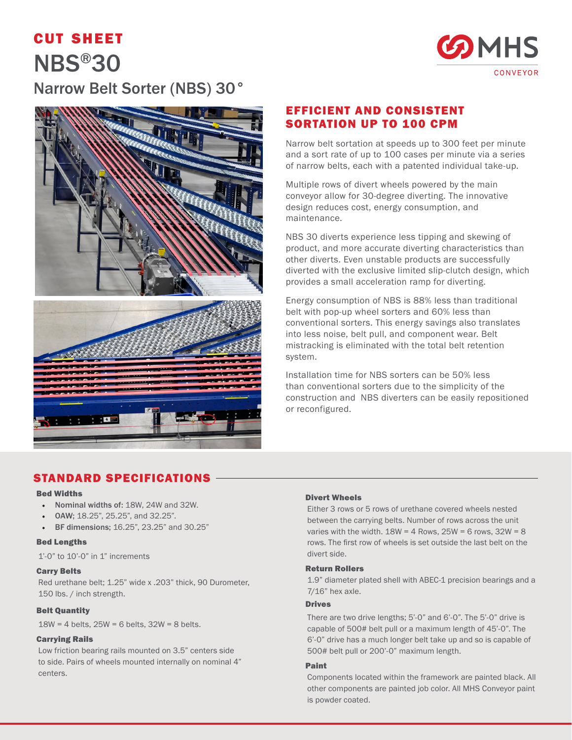# cut sheet NBS®30





## EFFICIENT AND CONSISTENT SORTATION UP TO 100 CPM

Narrow belt sortation at speeds up to 300 feet per minute and a sort rate of up to 100 cases per minute via a series of narrow belts, each with a patented individual take-up.

Multiple rows of divert wheels powered by the main conveyor allow for 30-degree diverting. The innovative design reduces cost, energy consumption, and maintenance.

NBS 30 diverts experience less tipping and skewing of product, and more accurate diverting characteristics than other diverts. Even unstable products are successfully diverted with the exclusive limited slip-clutch design, which provides a small acceleration ramp for diverting.

Energy consumption of NBS is 88% less than traditional belt with pop-up wheel sorters and 60% less than conventional sorters. This energy savings also translates into less noise, belt pull, and component wear. Belt mistracking is eliminated with the total belt retention system.

Installation time for NBS sorters can be 50% less than conventional sorters due to the simplicity of the construction and NBS diverters can be easily repositioned or reconfigured.

## STANDARD SPECIFICATIONS

#### Bed Widths

- Nominal widths of: 18W, 24W and 32W.
- OAW; 18.25", 25.25", and 32.25".
- BF dimensions; 16.25", 23.25" and 30.25"

#### Bed Lengths

1'-0" to 10'-0" in 1" increments

#### Carry Belts

Red urethane belt; 1.25" wide x .203" thick, 90 Durometer, 150 lbs. / inch strength.

#### Belt Quantity

 $18W = 4$  belts,  $25W = 6$  belts,  $32W = 8$  belts.

#### Carrying Rails

Low friction bearing rails mounted on 3.5" centers side to side. Pairs of wheels mounted internally on nominal 4" centers.

#### Divert Wheels

Either 3 rows or 5 rows of urethane covered wheels nested between the carrying belts. Number of rows across the unit varies with the width.  $18W = 4$  Rows,  $25W = 6$  rows,  $32W = 8$ rows. The first row of wheels is set outside the last belt on the divert side.

#### Return Rollers

1.9" diameter plated shell with ABEC-1 precision bearings and a 7/16" hex axle.

#### Drives

There are two drive lengths; 5'-0" and 6'-0". The 5'-0" drive is capable of 500# belt pull or a maximum length of 45'-0". The 6'-0" drive has a much longer belt take up and so is capable of 500# belt pull or 200'-0" maximum length.

#### Paint

Components located within the framework are painted black. All other components are painted job color. All MHS Conveyor paint is powder coated.